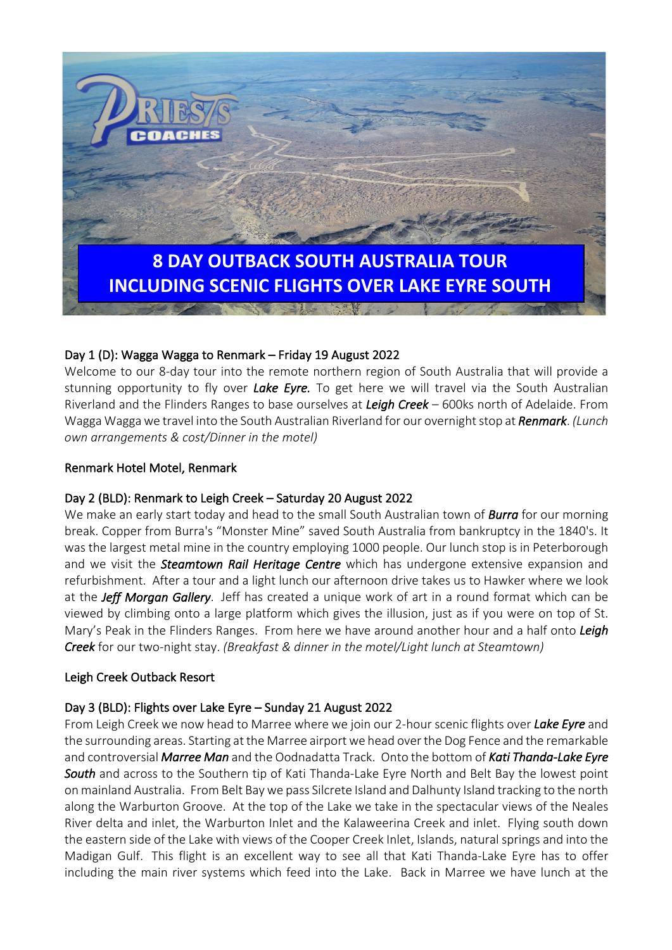

# Day 1 (D): Wagga Wagga to Renmark – Friday 19 August 2022

Welcome to our 8-day tour into the remote northern region of South Australia that will provide a stunning opportunity to fly over *Lake Eyre.* To get here we will travel via the South Australian Riverland and the Flinders Ranges to base ourselves at *Leigh Creek* – 600ks north of Adelaide. From Wagga Wagga we travel into the South Australian Riverland for our overnight stop at *Renmark*. *(Lunch own arrangements & cost/Dinner in the motel)*

#### Renmark Hotel Motel, Renmark

### Day 2 (BLD): Renmark to Leigh Creek – Saturday 20 August 2022

We make an early start today and head to the small South Australian town of *Burra* for our morning break. Copper from Burra's "Monster Mine" saved South Australia from bankruptcy in the 1840's. It was the largest metal mine in the country employing 1000 people. Our lunch stop is in Peterborough and we visit the *Steamtown Rail Heritage Centre* which has undergone extensive expansion and refurbishment. After a tour and a light lunch our afternoon drive takes us to Hawker where we look at the *Jeff Morgan Gallery*. Jeff has created a unique work of art in a round format which can be viewed by climbing onto a large platform which gives the illusion, just as if you were on top of St. Mary's Peak in the Flinders Ranges. From here we have around another hour and a half onto *Leigh Creek* for our two-night stay. *(Breakfast & dinner in the motel/Light lunch at Steamtown)*

### Leigh Creek Outback Resort

### Day 3 (BLD): Flights over Lake Eyre – Sunday 21 August 2022

From Leigh Creek we now head to Marree where we join our 2-hour scenic flights over *Lake Eyre* and the surrounding areas. Starting at the Marree airport we head over the Dog Fence and the remarkable and controversial *Marree Man* and the Oodnadatta Track. Onto the bottom of *Kati Thanda-Lake Eyre South* and across to the Southern tip of Kati Thanda-Lake Eyre North and Belt Bay the lowest point on mainland Australia. From Belt Bay we pass Silcrete Island and Dalhunty Island tracking to the north along the Warburton Groove. At the top of the Lake we take in the spectacular views of the Neales River delta and inlet, the Warburton Inlet and the Kalaweerina Creek and inlet. Flying south down the eastern side of the Lake with views of the Cooper Creek Inlet, Islands, natural springs and into the Madigan Gulf. This flight is an excellent way to see all that Kati Thanda-Lake Eyre has to offer including the main river systems which feed into the Lake. Back in Marree we have lunch at the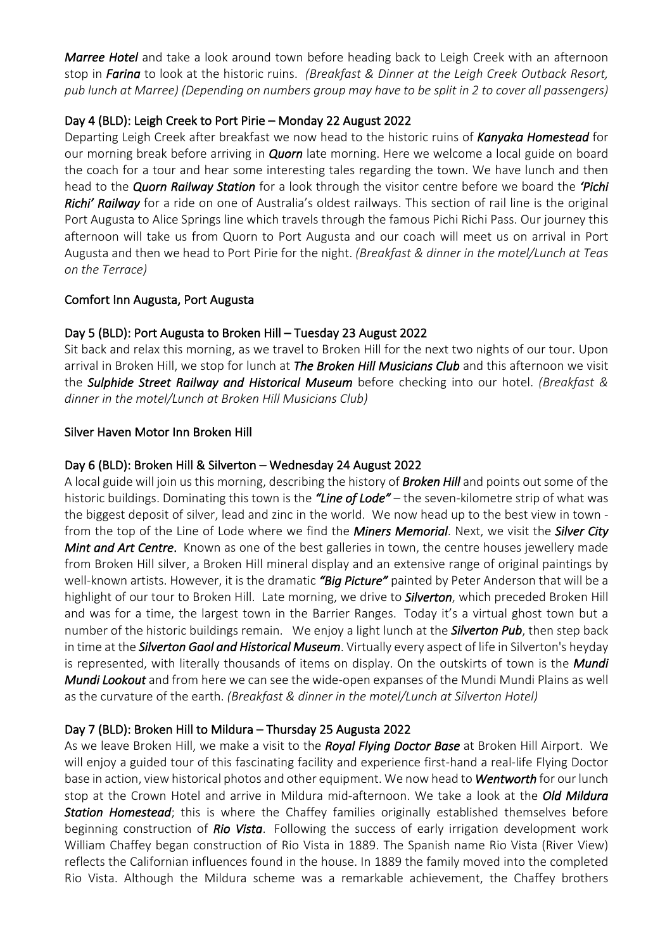*Marree Hotel* and take a look around town before heading back to Leigh Creek with an afternoon stop in *Farina* to look at the historic ruins. *(Breakfast & Dinner at the Leigh Creek Outback Resort, pub lunch at Marree) (Depending on numbers group may have to be split in 2 to cover all passengers)*

## Day 4 (BLD): Leigh Creek to Port Pirie – Monday 22 August 2022

Departing Leigh Creek after breakfast we now head to the historic ruins of *Kanyaka Homestead* for our morning break before arriving in *Quorn* late morning. Here we welcome a local guide on board the coach for a tour and hear some interesting tales regarding the town. We have lunch and then head to the *Quorn Railway Station* for a look through the visitor centre before we board the *'Pichi Richi' Railway* for a ride on one of Australia's oldest railways. This section of rail line is the original Port Augusta to Alice Springs line which travels through the famous Pichi Richi Pass. Our journey this afternoon will take us from Quorn to Port Augusta and our coach will meet us on arrival in Port Augusta and then we head to Port Pirie for the night. *(Breakfast & dinner in the motel/Lunch at Teas on the Terrace)*

## Comfort Inn Augusta, Port Augusta

## Day 5 (BLD): Port Augusta to Broken Hill – Tuesday 23 August 2022

Sit back and relax this morning, as we travel to Broken Hill for the next two nights of our tour. Upon arrival in Broken Hill, we stop for lunch at *The Broken Hill Musicians Club* and this afternoon we visit the *Sulphide Street Railway and Historical Museum* before checking into our hotel. *(Breakfast & dinner in the motel/Lunch at Broken Hill Musicians Club)*

### Silver Haven Motor Inn Broken Hill

### Day 6 (BLD): Broken Hill & Silverton – Wednesday 24 August 2022

A local guide will join us this morning, describing the history of *Broken Hill* and points out some of the historic buildings. Dominating this town is the *"Line of Lode"* – the seven-kilometre strip of what was the biggest deposit of silver, lead and zinc in the world. We now head up to the best view in town from the top of the Line of Lode where we find the *Miners Memorial*. Next, we visit the *Silver City Mint and Art Centre*. Known as one of the best galleries in town, the centre houses jewellery made from Broken Hill silver, a Broken Hill mineral display and an extensive range of original paintings by well-known artists. However, it is the dramatic *"Big Picture"* painted by Peter Anderson that will be a highlight of our tour to Broken Hill. Late morning, we drive to *Silverton*, which preceded Broken Hill and was for a time, the largest town in the Barrier Ranges. Today it's a virtual ghost town but a number of the historic buildings remain. We enjoy a light lunch at the *Silverton Pub*, then step back in time at the *Silverton Gaol and Historical Museum*. Virtually every aspect of life in Silverton's heyday is represented, with literally thousands of items on display. On the outskirts of town is the *Mundi Mundi Lookout* and from here we can see the wide-open expanses of the Mundi Mundi Plains as well as the curvature of the earth. *(Breakfast & dinner in the motel/Lunch at Silverton Hotel)*

### Day 7 (BLD): Broken Hill to Mildura – Thursday 25 Augusta 2022

As we leave Broken Hill, we make a visit to the *Royal Flying Doctor Base* at Broken Hill Airport. We will enjoy a guided tour of this fascinating facility and experience first-hand a real-life Flying Doctor base in action, view historical photos and other equipment. We now head to *Wentworth* for our lunch stop at the Crown Hotel and arrive in Mildura mid-afternoon. We take a look at the *Old Mildura Station Homestead*; this is where the Chaffey families originally established themselves before beginning construction of *Rio Vista*. Following the success of early irrigation development work William Chaffey began construction of Rio Vista in 1889. The Spanish name Rio Vista (River View) reflects the Californian influences found in the house. In 1889 the family moved into the completed Rio Vista. Although the Mildura scheme was a remarkable achievement, the Chaffey brothers